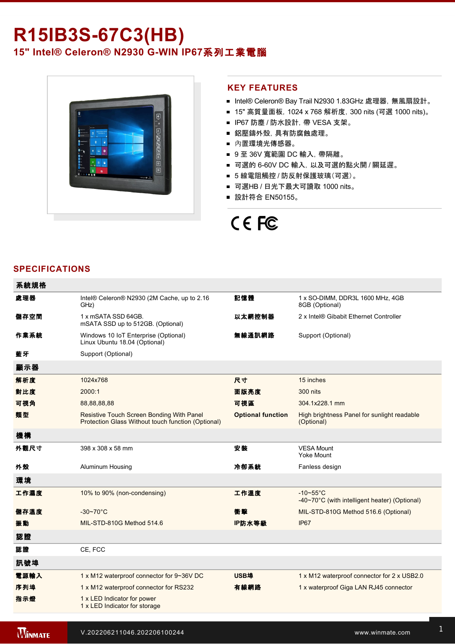# R15IB3S-67C3(HB) **15" Intel® Celeron® N2930 GWIN IP67**系列工業電腦



### **KEY FEATURES**

- Intel® Celeron® Bay Trail N2930 1.83GHz 處理器, 無風扇設計。
- 15" 高質量面板, 1024 x 768 解析度, 300 nits (可選 1000 nits)。
- IP67 防塵 / 防水設計, 帶 VESA 支架。
- 鋁壓鑄外殼,具有防腐蝕處理。
- 內置環境光傳感器。
- 9至 36V 寬範圍 DC 輸入, 帶隔離。
- 可選的 6-60V DC 輸入, 以及可選的點火開 / 關延遲。
- 5 線電阻觸控 / 防反射保護玻璃(可選)。
- 可選HB / 日光下最大可讀取 1000 nits。
- 設計符合 EN50155。

# CE FC

## **SPECIFICATIONS**

| 系統規格 |                                                                                                 |                          |                                                                             |
|------|-------------------------------------------------------------------------------------------------|--------------------------|-----------------------------------------------------------------------------|
| 處理器  | Intel® Celeron® N2930 (2M Cache, up to 2.16<br>GHz)                                             | 記憶體                      | 1 x SO-DIMM, DDR3L 1600 MHz, 4GB<br>8GB (Optional)                          |
| 儲存空間 | 1 x mSATA SSD 64GB.<br>mSATA SSD up to 512GB. (Optional)                                        | 以太網控制器                   | 2 x Intel® Gibabit Ethernet Controller                                      |
| 作業系統 | Windows 10 IoT Enterprise (Optional)<br>Linux Ubuntu 18.04 (Optional)                           | 無線通訊網路                   | Support (Optional)                                                          |
| 藍牙   | Support (Optional)                                                                              |                          |                                                                             |
| 顯示器  |                                                                                                 |                          |                                                                             |
| 解析度  | 1024x768                                                                                        | 尺寸                       | 15 inches                                                                   |
| 對比度  | 2000:1                                                                                          | 面版亮度                     | <b>300 nits</b>                                                             |
| 可視角  | 88,88,88,88                                                                                     | 可視區                      | 304.1x228.1 mm                                                              |
| 類型   | Resistive Touch Screen Bonding With Panel<br>Protection Glass Without touch function (Optional) | <b>Optional function</b> | High brightness Panel for sunlight readable<br>(Optional)                   |
| 機構   |                                                                                                 |                          |                                                                             |
| 外觀尺寸 | 398 x 308 x 58 mm                                                                               | 安装                       | <b>VESA Mount</b><br><b>Yoke Mount</b>                                      |
| 外殼   | Aluminum Housing                                                                                | 冷卻系統                     | Fanless design                                                              |
| 環境   |                                                                                                 |                          |                                                                             |
| 工作濕度 | 10% to 90% (non-condensing)                                                                     | 工作溫度                     | $-10\nthicksim55^{\circ}C$<br>-40~70°C (with intelligent heater) (Optional) |
| 儲存溫度 | $-30 - 70^{\circ}$ C                                                                            | 衝擊                       | MIL-STD-810G Method 516.6 (Optional)                                        |
| 振動   | MIL-STD-810G Method 514.6                                                                       | IP防水等級                   | IP67                                                                        |
| 認證   |                                                                                                 |                          |                                                                             |
| 認證   | CE, FCC                                                                                         |                          |                                                                             |
| 訊號埠  |                                                                                                 |                          |                                                                             |
| 電源輸入 | 1 x M12 waterproof connector for 9~36V DC                                                       | USB埠                     | 1 x M12 waterproof connector for 2 x USB2.0                                 |
| 序列埠  | 1 x M12 waterproof connector for RS232                                                          | 有線網路                     | 1 x waterproof Giga LAN RJ45 connector                                      |
| 指示燈  | 1 x LED Indicator for power<br>1 x LED Indicator for storage                                    |                          |                                                                             |
|      |                                                                                                 |                          |                                                                             |